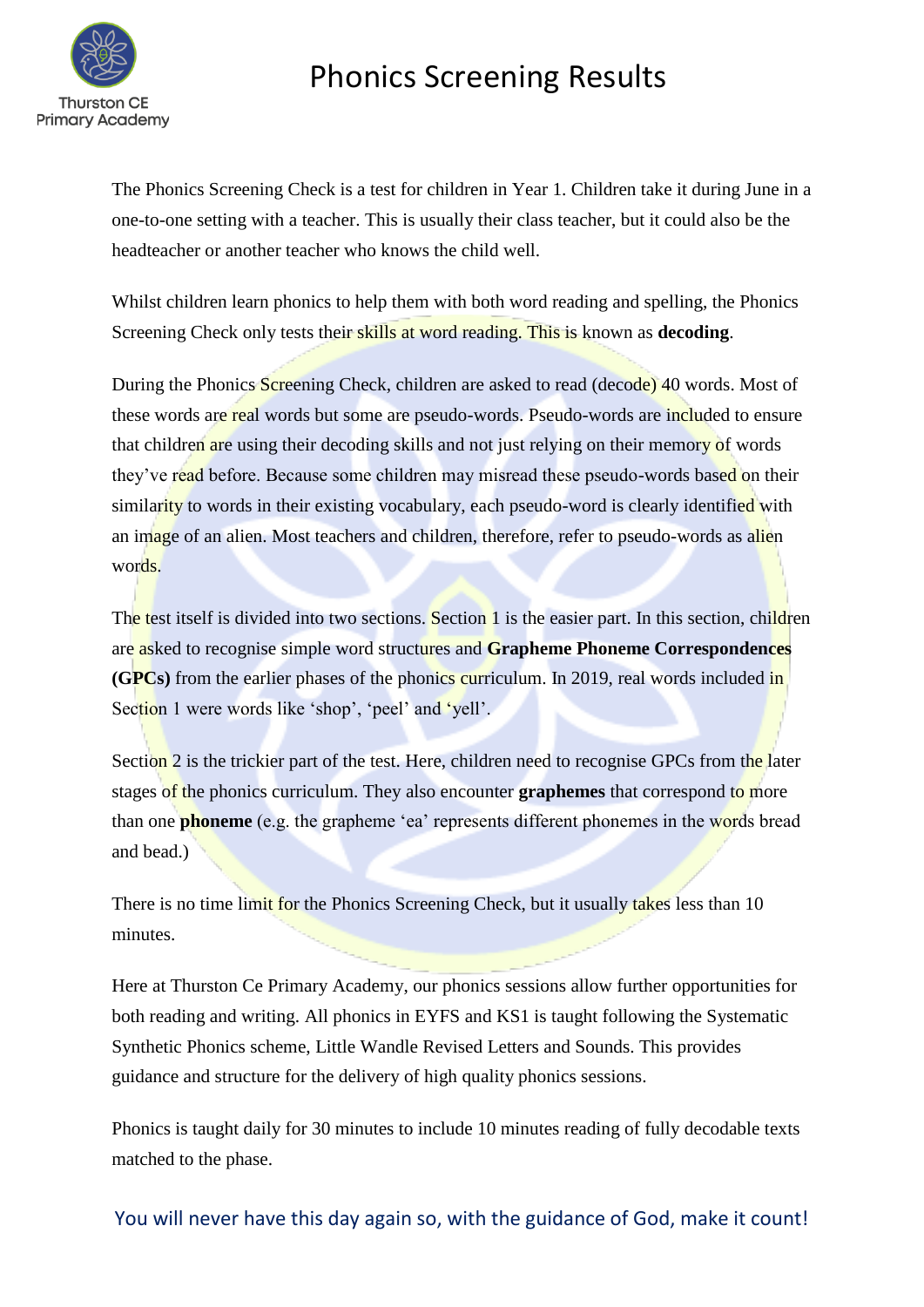

## Phonics Screening Results

The Phonics Screening Check is a test for children in Year 1. Children take it during June in a one-to-one setting with a teacher. This is usually their class teacher, but it could also be the headteacher or another teacher who knows the child well.

Whilst children learn phonics to help them with both word reading and spelling, the Phonics Screening Check only tests their skills at word reading. This is known as **decoding**.

During the Phonics Screening Check, children are asked to read (decode) 40 words. Most of these words are real words but some are pseudo-words. Pseudo-words are included to ensure that children are using their decoding skills and not just relying on their memory of words they've read before. Because some children may misread these pseudo-words based on their similarity to words in their existing vocabulary, each pseudo-word is clearly identified with an image of an alien. Most teachers and children, therefore, refer to pseudo-words as alien words.

The test itself is divided into two sections. Section 1 is the easier part. In this section, children are asked to recognise simple word structures and **Grapheme Phoneme Correspondences (GPCs)** from the earlier phases of the phonics curriculum. In 2019, real words included in Section 1 were words like 'shop', 'peel' and 'yell'.

Section 2 is the trickier part of the test. Here, children need to recognise GPCs from the later stages of the phonics curriculum. They also encounter **graphemes** that correspond to more than one **phoneme** (e.g. the grapheme 'ea' represents different phonemes in the words bread and bead.)

There is no time limit for the Phonics Screening Check, but it usually takes less than 10 minutes.

Here at Thurston Ce Primary Academy, our phonics sessions allow further opportunities for both reading and writing. All phonics in EYFS and KS1 is taught following the Systematic Synthetic Phonics scheme, Little Wandle Revised Letters and Sounds. This provides guidance and structure for the delivery of high quality phonics sessions.

Phonics is taught daily for 30 minutes to include 10 minutes reading of fully decodable texts matched to the phase.

You will never have this day again so, with the guidance of God, make it count!